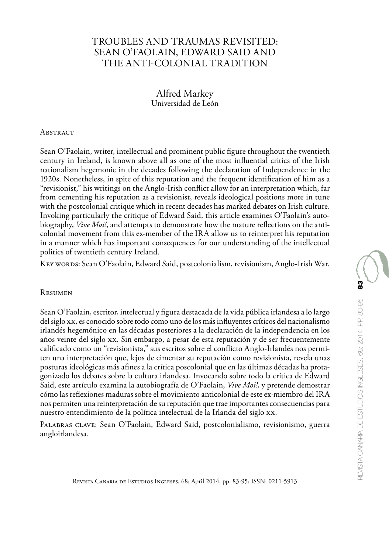## TROUBLES AND TRAUMAS REVISITED: SEAN O'FAOLAIN, EDWARD SAID AND THE ANTI-COLONIAL TRADITION

Alfred Markey Universidad de León

#### **ABSTRACT**

Sean O'Faolain, writer, intellectual and prominent public figure throughout the twentieth century in Ireland, is known above all as one of the most influential critics of the Irish nationalism hegemonic in the decades following the declaration of Independence in the 1920s. Nonetheless, in spite of this reputation and the frequent identification of him as a "revisionist," his writings on the Anglo-Irish conflict allow for an interpretation which, far from cementing his reputation as a revisionist, reveals ideological positions more in tune with the postcolonial critique which in recent decades has marked debates on Irish culture. Invoking particularly the critique of Edward Said, this article examines O'Faolain's autobiography, *Vive Moi!*, and attempts to demonstrate how the mature reflections on the anticolonial movement from this ex-member of the IRA allow us to reinterpret his reputation in a manner which has important consequences for our understanding of the intellectual politics of twentieth century Ireland.

Key words: Sean O'Faolain, Edward Said, postcolonialism, revisionism, Anglo-Irish War.

#### Resumen

Sean O'Faolain, escritor, intelectual y figura destacada de la vida pública irlandesa a lo largo del siglo xx, es conocido sobre todo como uno de los más influyentes críticos del nacionalismo irlandés hegemónico en las décadas posteriores a la declaración de la independencia en los años veinte del siglo xx. Sin embargo, a pesar de esta reputación y de ser frecuentemente calificado como un "revisionista," sus escritos sobre el conflicto Anglo-Irlandés nos permiten una interpretación que, lejos de cimentar su reputación como revisionista, revela unas posturas ideológicas más afines a la crítica poscolonial que en las últimas décadas ha protagonizado los debates sobre la cultura irlandesa. Invocando sobre todo la crítica de Edward Said, este artículo examina la autobiografía de O'Faolain, *Vive Moi!*, y pretende demostrar cómo las reflexiones maduras sobre el movimiento anticolonial de este ex-miembro del IRA nos permiten una reinterpretación de su reputación que trae importantes consecuencias para nuestro entendimiento de la política intelectual de la Irlanda del siglo xx.

Palabras clave: Sean O'Faolain, Edward Said, postcolonialismo, revisionismo, guerra angloirlandesa.

Revista Canaria de Estudios Ingleses, 68; April 2014, pp. 83-95; ISSN: 0211-5913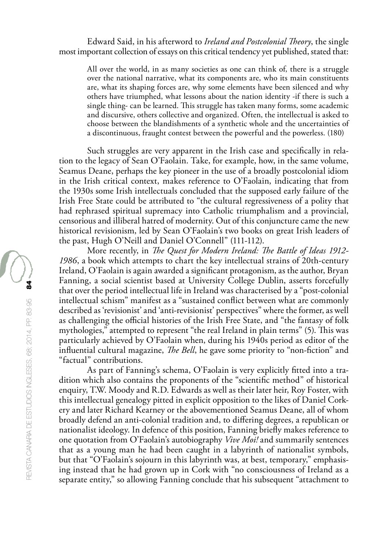### Edward Said, in his afterword to *Ireland and Postcolonial Theory*, the single most important collection of essays on this critical tendency yet published, stated that:

All over the world, in as many societies as one can think of, there is a struggle over the national narrative, what its components are, who its main constituents are, what its shaping forces are, why some elements have been silenced and why others have triumphed, what lessons about the nation identity -if there is such a single thing- can be learned. This struggle has taken many forms, some academic and discursive, others collective and organized. Often, the intellectual is asked to choose between the blandishments of a synthetic whole and the uncertainties of a discontinuous, fraught contest between the powerful and the powerless. (180)

Such struggles are very apparent in the Irish case and specifically in relation to the legacy of Sean O'Faolain. Take, for example, how, in the same volume, Seamus Deane, perhaps the key pioneer in the use of a broadly postcolonial idiom in the Irish critical context, makes reference to O'Faolain, indicating that from the 1930s some Irish intellectuals concluded that the supposed early failure of the Irish Free State could be attributed to "the cultural regressiveness of a polity that had rephrased spiritual supremacy into Catholic triumphalism and a provincial, censorious and illiberal hatred of modernity. Out of this conjuncture came the new historical revisionism, led by Sean O'Faolain's two books on great Irish leaders of the past, Hugh O'Neill and Daniel O'Connell" (111-112).

More recently, in *The Quest for Modern Ireland: The Battle of Ideas 1912- 1986*, a book which attempts to chart the key intellectual strains of 20th-century Ireland, O'Faolain is again awarded a significant protagonism, as the author, Bryan Fanning, a social scientist based at University College Dublin, asserts forcefully that over the period intellectual life in Ireland was characterised by a "post-colonial intellectual schism" manifest as a "sustained conflict between what are commonly described as 'revisionist' and 'anti-revisionist' perspectives" where the former, as well as challenging the official histories of the Irish Free State, and "the fantasy of folk mythologies," attempted to represent "the real Ireland in plain terms" (5). This was particularly achieved by O'Faolain when, during his 1940s period as editor of the influential cultural magazine, *The Bell*, he gave some priority to "non-fiction" and "factual" contributions.

As part of Fanning's schema, O'Faolain is very explicitly fitted into a tradition which also contains the proponents of the "scientific method" of historical enquiry, T.W. Moody and R.D. Edwards as well as their later heir, Roy Foster, with this intellectual genealogy pitted in explicit opposition to the likes of Daniel Corkery and later Richard Kearney or the abovementioned Seamus Deane, all of whom broadly defend an anti-colonial tradition and, to differing degrees, a republican or nationalist ideology. In defence of this position, Fanning briefly makes reference to one quotation from O'Faolain's autobiography *Vive Moi!* and summarily sentences that as a young man he had been caught in a labyrinth of nationalist symbols, but that "O'Faolain's sojourn in this labyrinth was, at best, temporary," emphasising instead that he had grown up in Cork with "no consciousness of Ireland as a separate entity," so allowing Fanning conclude that his subsequent "attachment to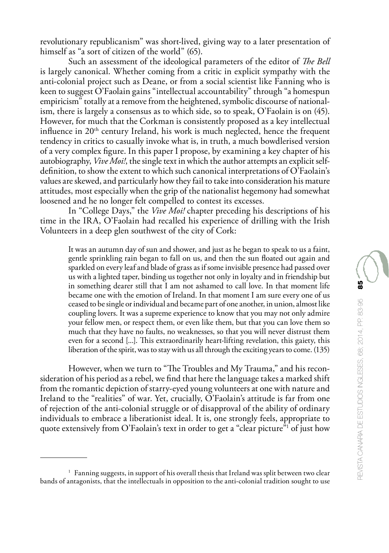revolutionary republicanism" was short-lived, giving way to a later presentation of himself as "a sort of citizen of the world" (65).

Such an assessment of the ideological parameters of the editor of *The Bell*  is largely canonical. Whether coming from a critic in explicit sympathy with the anti-colonial project such as Deane, or from a social scientist like Fanning who is keen to suggest O'Faolain gains "intellectual accountability" through "a homespun empiricism" totally at a remove from the heightened, symbolic discourse of nationalism, there is largely a consensus as to which side, so to speak, O'Faolain is on (45). However, for much that the Corkman is consistently proposed as a key intellectual influence in  $20<sup>th</sup>$  century Ireland, his work is much neglected, hence the frequent tendency in critics to casually invoke what is, in truth, a much bowdlerised version of a very complex figure. In this paper I propose, by examining a key chapter of his autobiography, *Vive Moi!*, the single text in which the author attempts an explicit selfdefinition, to show the extent to which such canonical interpretations of O'Faolain's values are skewed, and particularly how they fail to take into consideration his mature attitudes, most especially when the grip of the nationalist hegemony had somewhat loosened and he no longer felt compelled to contest its excesses.

In "College Days," the *Vive Moi!* chapter preceding his descriptions of his time in the IRA, O'Faolain had recalled his experience of drilling with the Irish Volunteers in a deep glen southwest of the city of Cork:

It was an autumn day of sun and shower, and just as he began to speak to us a faint, gentle sprinkling rain began to fall on us, and then the sun floated out again and sparkled on every leaf and blade of grass as if some invisible presence had passed over us with a lighted taper, binding us together not only in loyalty and in friendship but in something dearer still that I am not ashamed to call love. In that moment life became one with the emotion of Ireland. In that moment I am sure every one of us ceased to be single or individual and became part of one another, in union, almost like coupling lovers. It was a supreme experience to know that you may not only admire your fellow men, or respect them, or even like them, but that you can love them so much that they have no faults, no weaknesses, so that you will never distrust them even for a second [...]. This extraordinarily heart-lifting revelation, this gaiety, this liberation of the spirit, was to stay with us all through the exciting years to come. (135)

However, when we turn to "The Troubles and My Trauma," and his reconsideration of his period as a rebel, we find that here the language takes a marked shift from the romantic depiction of starry-eyed young volunteers at one with nature and Ireland to the "realities" of war. Yet, crucially, O'Faolain's attitude is far from one of rejection of the anti-colonial struggle or of disapproval of the ability of ordinary individuals to embrace a liberationist ideal. It is, one strongly feels, appropriate to quote extensively from O'Faolain's text in order to get a "clear picture"1 of just how

<sup>&</sup>lt;sup>1</sup> Fanning suggests, in support of his overall thesis that Ireland was split between two clear bands of antagonists, that the intellectuals in opposition to the anti-colonial tradition sought to use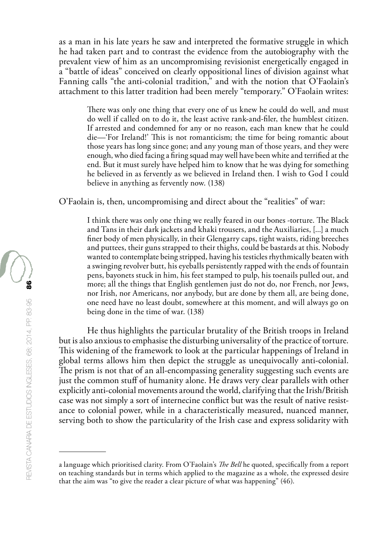as a man in his late years he saw and interpreted the formative struggle in which he had taken part and to contrast the evidence from the autobiography with the prevalent view of him as an uncompromising revisionist energetically engaged in a "battle of ideas" conceived on clearly oppositional lines of division against what Fanning calls "the anti-colonial tradition," and with the notion that O'Faolain's attachment to this latter tradition had been merely "temporary." O'Faolain writes:

There was only one thing that every one of us knew he could do well, and must do well if called on to do it, the least active rank-and-filer, the humblest citizen. If arrested and condemned for any or no reason, each man knew that he could die—'For Ireland!' This is not romanticism; the time for being romantic about those years has long since gone; and any young man of those years, and they were enough, who died facing a firing squad may well have been white and terrified at the end. But it must surely have helped him to know that he was dying for something he believed in as fervently as we believed in Ireland then. I wish to God I could believe in anything as fervently now. (138)

O'Faolain is, then, uncompromising and direct about the "realities" of war:

I think there was only one thing we really feared in our bones -torture. The Black and Tans in their dark jackets and khaki trousers, and the Auxiliaries, [...] a much finer body of men physically, in their Glengarry caps, tight waists, riding breeches and puttees, their guns strapped to their thighs, could be bastards at this. Nobody wanted to contemplate being stripped, having his testicles rhythmically beaten with a swinging revolver butt, his eyeballs persistently rapped with the ends of fountain pens, bayonets stuck in him, his feet stamped to pulp, his toenails pulled out, and more; all the things that English gentlemen just do not do, nor French, nor Jews, nor Irish, nor Americans, nor anybody, but are done by them all, are being done, one need have no least doubt, somewhere at this moment, and will always go on being done in the time of war. (138)

He thus highlights the particular brutality of the British troops in Ireland but is also anxious to emphasise the disturbing universality of the practice of torture. This widening of the framework to look at the particular happenings of Ireland in global terms allows him then depict the struggle as unequivocally anti-colonial. The prism is not that of an all-encompassing generality suggesting such events are just the common stuff of humanity alone. He draws very clear parallels with other explicitly anti-colonial movements around the world, clarifying that the Irish/British case was not simply a sort of internecine conflict but was the result of native resistance to colonial power, while in a characteristically measured, nuanced manner, serving both to show the particularity of the Irish case and express solidarity with

a language which prioritised clarity. From O'Faolain's *The Bell* he quoted, specifically from a report on teaching standards but in terms which applied to the magazine as a whole, the expressed desire that the aim was "to give the reader a clear picture of what was happening" (46).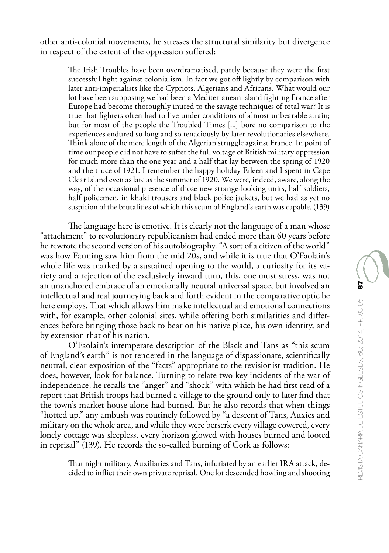other anti-colonial movements, he stresses the structural similarity but divergence in respect of the extent of the oppression suffered:

The Irish Troubles have been overdramatised, partly because they were the first successful fight against colonialism. In fact we got off lightly by comparison with later anti-imperialists like the Cypriots, Algerians and Africans. What would our lot have been supposing we had been a Mediterranean island fighting France after Europe had become thoroughly inured to the savage techniques of total war? It is true that fighters often had to live under conditions of almost unbearable strain; but for most of the people the Troubled Times [...] bore no comparison to the experiences endured so long and so tenaciously by later revolutionaries elsewhere. Think alone of the mere length of the Algerian struggle against France. In point of time our people did not have to suffer the full voltage of British military oppression for much more than the one year and a half that lay between the spring of 1920 and the truce of 1921. I remember the happy holiday Eileen and I spent in Cape Clear Island even as late as the summer of 1920. We were, indeed, aware, along the way, of the occasional presence of those new strange-looking units, half soldiers, half policemen, in khaki trousers and black police jackets, but we had as yet no suspicion of the brutalities of which this scum of England's earth was capable. (139)

The language here is emotive. It is clearly not the language of a man whose "attachment" to revolutionary republicanism had ended more than 60 years before he rewrote the second version of his autobiography. "A sort of a citizen of the world" was how Fanning saw him from the mid 20s, and while it is true that O'Faolain's whole life was marked by a sustained opening to the world, a curiosity for its variety and a rejection of the exclusively inward turn, this, one must stress, was not an unanchored embrace of an emotionally neutral universal space, but involved an intellectual and real journeying back and forth evident in the comparative optic he here employs. That which allows him make intellectual and emotional connections with, for example, other colonial sites, while offering both similarities and differences before bringing those back to bear on his native place, his own identity, and by extension that of his nation.

O'Faolain's intemperate description of the Black and Tans as "this scum of England's earth" is not rendered in the language of dispassionate, scientifically neutral, clear exposition of the "facts" appropriate to the revisionist tradition. He does, however, look for balance. Turning to relate two key incidents of the war of independence, he recalls the "anger" and "shock" with which he had first read of a report that British troops had burned a village to the ground only to later find that the town's market house alone had burned. But he also records that when things "hotted up," any ambush was routinely followed by "a descent of Tans, Auxies and military on the whole area, and while they were berserk every village cowered, every lonely cottage was sleepless, every horizon glowed with houses burned and looted in reprisal" (139). He records the so-called burning of Cork as follows:

That night military, Auxiliaries and Tans, infuriated by an earlier IRA attack, decided to inflict their own private reprisal. One lot descended howling and shooting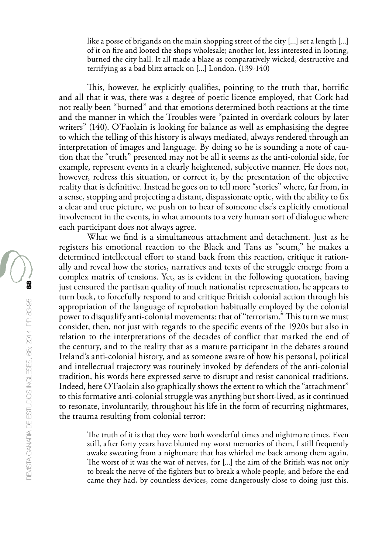like a posse of brigands on the main shopping street of the city [...] set a length [...] of it on fire and looted the shops wholesale; another lot, less interested in looting, burned the city hall. It all made a blaze as comparatively wicked, destructive and terrifying as a bad blitz attack on [...] London. (139-140)

This, however, he explicitly qualifies, pointing to the truth that, horrific and all that it was, there was a degree of poetic licence employed, that Cork had not really been "burned" and that emotions determined both reactions at the time and the manner in which the Troubles were "painted in overdark colours by later writers" (140). O'Faolain is looking for balance as well as emphasising the degree to which the telling of this history is always mediated, always rendered through an interpretation of images and language. By doing so he is sounding a note of caution that the "truth" presented may not be all it seems as the anti-colonial side, for example, represent events in a clearly heightened, subjective manner. He does not, however, redress this situation, or correct it, by the presentation of the objective reality that is definitive. Instead he goes on to tell more "stories" where, far from, in a sense, stopping and projecting a distant, dispassionate optic, with the ability to fix a clear and true picture, we push on to hear of someone else's explicitly emotional involvement in the events, in what amounts to a very human sort of dialogue where each participant does not always agree.

What we find is a simultaneous attachment and detachment. Just as he registers his emotional reaction to the Black and Tans as "scum," he makes a determined intellectual effort to stand back from this reaction, critique it rationally and reveal how the stories, narratives and texts of the struggle emerge from a complex matrix of tensions. Yet, as is evident in the following quotation, having just censured the partisan quality of much nationalist representation, he appears to turn back, to forcefully respond to and critique British colonial action through his appropriation of the language of reprobation habitually employed by the colonial power to disqualify anti-colonial movements: that of "terrorism." This turn we must consider, then, not just with regards to the specific events of the 1920s but also in relation to the interpretations of the decades of conflict that marked the end of the century, and to the reality that as a mature participant in the debates around Ireland's anti-colonial history, and as someone aware of how his personal, political and intellectual trajectory was routinely invoked by defenders of the anti-colonial tradition, his words here expressed serve to disrupt and resist canonical traditions. Indeed, here O'Faolain also graphically shows the extent to which the "attachment" to this formative anti-colonial struggle was anything but short-lived, as it continued to resonate, involuntarily, throughout his life in the form of recurring nightmares, the trauma resulting from colonial terror:

The truth of it is that they were both wonderful times and nightmare times. Even still, after forty years have blunted my worst memories of them, I still frequently awake sweating from a nightmare that has whirled me back among them again. The worst of it was the war of nerves, for [...] the aim of the British was not only to break the nerve of the fighters but to break a whole people; and before the end came they had, by countless devices, come dangerously close to doing just this.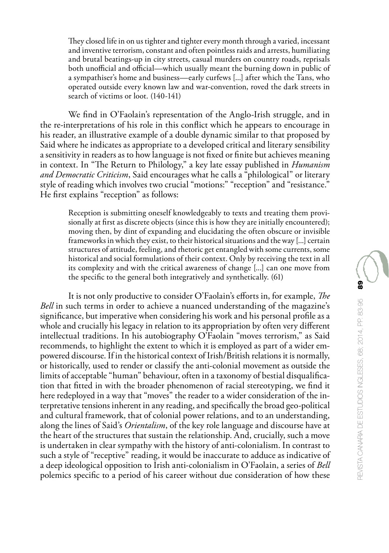They closed life in on us tighter and tighter every month through a varied, incessant and inventive terrorism, constant and often pointless raids and arrests, humiliating and brutal beatings-up in city streets, casual murders on country roads, reprisals both unofficial and official—which usually meant the burning down in public of a sympathiser's home and business—early curfews [...] after which the Tans, who operated outside every known law and war-convention, roved the dark streets in search of victims or loot. (140-141)

We find in O'Faolain's representation of the Anglo-Irish struggle, and in the re-interpretations of his role in this conflict which he appears to encourage in his reader, an illustrative example of a double dynamic similar to that proposed by Said where he indicates as appropriate to a developed critical and literary sensibility a sensitivity in readers as to how language is not fixed or finite but achieves meaning in context. In "The Return to Philology," a key late essay published in *Humanism and Democratic Criticism*, Said encourages what he calls a "philological" or literary style of reading which involves two crucial "motions:" "reception" and "resistance." He first explains "reception" as follows:

Reception is submitting oneself knowledgeably to texts and treating them provisionally at first as discrete objects (since this is how they are initially encountered); moving then, by dint of expanding and elucidating the often obscure or invisible frameworks in which they exist, to their historical situations and the way [...] certain structures of attitude, feeling, and rhetoric get entangled with some currents, some historical and social formulations of their context. Only by receiving the text in all its complexity and with the critical awareness of change [...] can one move from the specific to the general both integratively and synthetically. (61)

It is not only productive to consider O'Faolain's efforts in, for example, *The Bell* in such terms in order to achieve a nuanced understanding of the magazine's significance, but imperative when considering his work and his personal profile as a whole and crucially his legacy in relation to its appropriation by often very different intellectual traditions. In his autobiography O'Faolain "moves terrorism," as Said recommends, to highlight the extent to which it is employed as part of a wider empowered discourse. If in the historical context of Irish/British relations it is normally, or historically, used to render or classify the anti-colonial movement as outside the limits of acceptable "human" behaviour, often in a taxonomy of bestial disqualification that fitted in with the broader phenomenon of racial stereotyping, we find it here redeployed in a way that "moves" the reader to a wider consideration of the interpretative tensions inherent in any reading, and specifically the broad geo-political and cultural framework, that of colonial power relations, and to an understanding, along the lines of Said's *Orientalism*, of the key role language and discourse have at the heart of the structures that sustain the relationship. And, crucially, such a move is undertaken in clear sympathy with the history of anti-colonialism. In contrast to such a style of "receptive" reading, it would be inaccurate to adduce as indicative of a deep ideological opposition to Irish anti-colonialism in O'Faolain, a series of *Bell*  polemics specific to a period of his career without due consideration of how these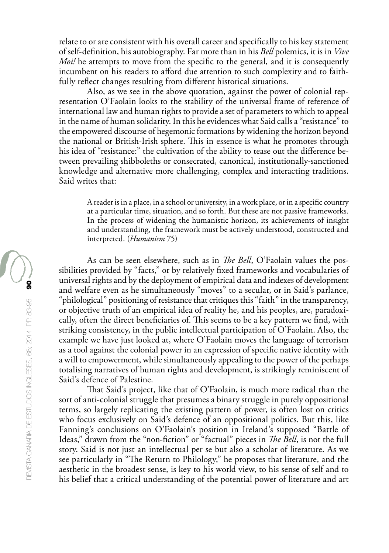relate to or are consistent with his overall career and specifically to his key statement of self-definition, his autobiography. Far more than in his *Bell* polemics, it is in *Vive Moi!* he attempts to move from the specific to the general, and it is consequently incumbent on his readers to afford due attention to such complexity and to faithfully reflect changes resulting from different historical situations.

Also, as we see in the above quotation, against the power of colonial representation O'Faolain looks to the stability of the universal frame of reference of international law and human rights to provide a set of parameters to which to appeal in the name of human solidarity. In this he evidences what Said calls a "resistance" to the empowered discourse of hegemonic formations by widening the horizon beyond the national or British-Irish sphere. This in essence is what he promotes through his idea of "resistance:" the cultivation of the ability to tease out the difference between prevailing shibboleths or consecrated, canonical, institutionally-sanctioned knowledge and alternative more challenging, complex and interacting traditions. Said writes that:

A reader is in a place, in a school or university, in a work place, or in a specific country at a particular time, situation, and so forth. But these are not passive frameworks. In the process of widening the humanistic horizon, its achievements of insight and understanding, the framework must be actively understood, constructed and interpreted. (*Humanism* 75)

As can be seen elsewhere, such as in *The Bell*, O'Faolain values the possibilities provided by "facts," or by relatively fixed frameworks and vocabularies of universal rights and by the deployment of empirical data and indexes of development and welfare even as he simultaneously "moves" to a secular, or in Said's parlance, "philological" positioning of resistance that critiques this "faith" in the transparency, or objective truth of an empirical idea of reality he, and his peoples, are, paradoxically, often the direct beneficiaries of. This seems to be a key pattern we find, with striking consistency, in the public intellectual participation of O'Faolain. Also, the example we have just looked at, where O'Faolain moves the language of terrorism as a tool against the colonial power in an expression of specific native identity with a will to empowerment, while simultaneously appealing to the power of the perhaps totalising narratives of human rights and development, is strikingly reminiscent of Said's defence of Palestine.

That Said's project, like that of O'Faolain, is much more radical than the sort of anti-colonial struggle that presumes a binary struggle in purely oppositional terms, so largely replicating the existing pattern of power, is often lost on critics who focus exclusively on Said's defence of an oppositional politics. But this, like Fanning's conclusions on O'Faolain's position in Ireland's supposed "Battle of Ideas," drawn from the "non-fiction" or "factual" pieces in *The Bell*, is not the full story. Said is not just an intellectual per se but also a scholar of literature. As we see particularly in "The Return to Philology," he proposes that literature, and the aesthetic in the broadest sense, is key to his world view, to his sense of self and to his belief that a critical understanding of the potential power of literature and art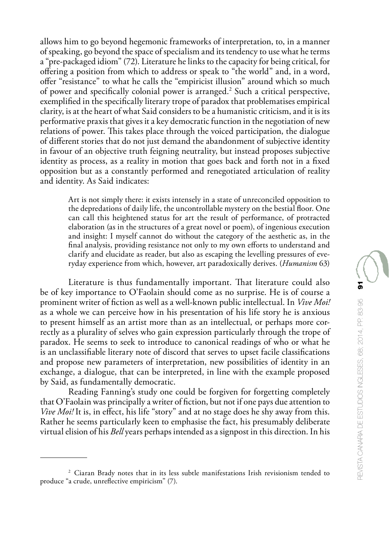allows him to go beyond hegemonic frameworks of interpretation, to, in a manner of speaking, go beyond the space of specialism and its tendency to use what he terms a "pre-packaged idiom" (72). Literature he links to the capacity for being critical, for offering a position from which to address or speak to "the world" and, in a word, offer "resistance" to what he calls the "empiricist illusion" around which so much of power and specifically colonial power is arranged.2 Such a critical perspective, exemplified in the specifically literary trope of paradox that problematises empirical clarity, is at the heart of what Said considers to be a humanistic criticism, and it is its performative praxis that gives it a key democratic function in the negotiation of new relations of power. This takes place through the voiced participation, the dialogue of different stories that do not just demand the abandonment of subjective identity in favour of an objective truth feigning neutrality, but instead proposes subjective identity as process, as a reality in motion that goes back and forth not in a fixed opposition but as a constantly performed and renegotiated articulation of reality and identity. As Said indicates:

Art is not simply there: it exists intensely in a state of unreconciled opposition to the depredations of daily life, the uncontrollable mystery on the bestial floor. One can call this heightened status for art the result of performance, of protracted elaboration (as in the structures of a great novel or poem), of ingenious execution and insight: I myself cannot do without the category of the aesthetic as, in the final analysis, providing resistance not only to my own efforts to understand and clarify and elucidate as reader, but also as escaping the levelling pressures of everyday experience from which, however, art paradoxically derives. (*Humanism* 63)

Literature is thus fundamentally important. That literature could also be of key importance to O'Faolain should come as no surprise. He is of course a prominent writer of fiction as well as a well-known public intellectual. In *Vive Moi!*  as a whole we can perceive how in his presentation of his life story he is anxious to present himself as an artist more than as an intellectual, or perhaps more correctly as a plurality of selves who gain expression particularly through the trope of paradox. He seems to seek to introduce to canonical readings of who or what he is an unclassifiable literary note of discord that serves to upset facile classifications and propose new parameters of interpretation, new possibilities of identity in an exchange, a dialogue, that can be interpreted, in line with the example proposed by Said, as fundamentally democratic.

Reading Fanning's study one could be forgiven for forgetting completely that O'Faolain was principally a writer of fiction, but not if one pays due attention to *Vive Moi!* It is, in effect, his life "story" and at no stage does he shy away from this. Rather he seems particularly keen to emphasise the fact, his presumably deliberate virtual elision of his *Bell* years perhaps intended as a signpost in this direction. In his

<sup>&</sup>lt;sup>2</sup> Ciaran Brady notes that in its less subtle manifestations Irish revisionism tended to produce "a crude, unreflective empiricism" (7).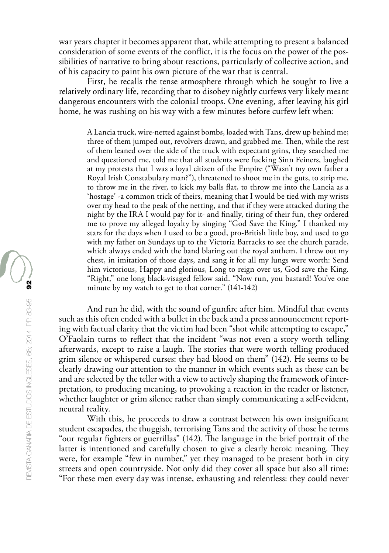war years chapter it becomes apparent that, while attempting to present a balanced consideration of some events of the conflict, it is the focus on the power of the possibilities of narrative to bring about reactions, particularly of collective action, and of his capacity to paint his own picture of the war that is central.

First, he recalls the tense atmosphere through which he sought to live a relatively ordinary life, recording that to disobey nightly curfews very likely meant dangerous encounters with the colonial troops. One evening, after leaving his girl home, he was rushing on his way with a few minutes before curfew left when:

A Lancia truck, wire-netted against bombs, loaded with Tans, drew up behind me; three of them jumped out, revolvers drawn, and grabbed me. Then, while the rest of them leaned over the side of the truck with expectant grins, they searched me and questioned me, told me that all students were fucking Sinn Feiners, laughed at my protests that I was a loyal citizen of the Empire ("Wasn't my own father a Royal Irish Constabulary man?"), threatened to shoot me in the guts, to strip me, to throw me in the river, to kick my balls flat, to throw me into the Lancia as a 'hostage' -a common trick of theirs, meaning that I would be tied with my wrists over my head to the peak of the netting, and that if they were attacked during the night by the IRA I would pay for it- and finally, tiring of their fun, they ordered me to prove my alleged loyalty by singing "God Save the King." I thanked my stars for the days when I used to be a good, pro-British little boy, and used to go with my father on Sundays up to the Victoria Barracks to see the church parade, which always ended with the band blaring out the royal anthem. I threw out my chest, in imitation of those days, and sang it for all my lungs were worth: Send him victorious, Happy and glorious, Long to reign over us, God save the King. "Right," one long black-visaged fellow said. "Now run, you bastard! You've one minute by my watch to get to that corner." (141-142)

And run he did, with the sound of gunfire after him. Mindful that events such as this often ended with a bullet in the back and a press announcement reporting with factual clarity that the victim had been "shot while attempting to escape," O'Faolain turns to reflect that the incident "was not even a story worth telling afterwards, except to raise a laugh. The stories that were worth telling produced grim silence or whispered curses: they had blood on them" (142). He seems to be clearly drawing our attention to the manner in which events such as these can be and are selected by the teller with a view to actively shaping the framework of interpretation, to producing meaning, to provoking a reaction in the reader or listener, whether laughter or grim silence rather than simply communicating a self-evident, neutral reality.

With this, he proceeds to draw a contrast between his own insignificant student escapades, the thuggish, terrorising Tans and the activity of those he terms "our regular fighters or guerrillas" (142). The language in the brief portrait of the latter is intentioned and carefully chosen to give a clearly heroic meaning. They were, for example "few in number," yet they managed to be present both in city streets and open countryside. Not only did they cover all space but also all time: "For these men every day was intense, exhausting and relentless: they could never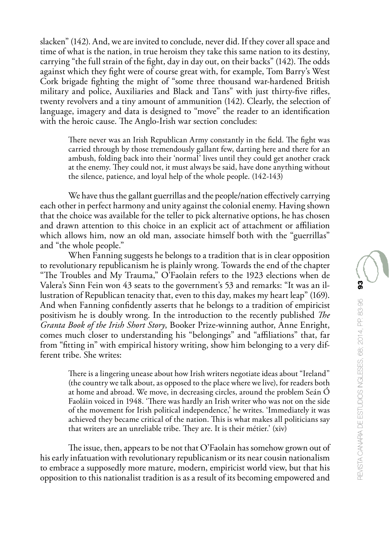slacken" (142). And, we are invited to conclude, never did. If they cover all space and time of what is the nation, in true heroism they take this same nation to its destiny, carrying "the full strain of the fight, day in day out, on their backs" (142). The odds against which they fight were of course great with, for example, Tom Barry's West Cork brigade fighting the might of "some three thousand war-hardened British military and police, Auxiliaries and Black and Tans" with just thirty-five rifles, twenty revolvers and a tiny amount of ammunition (142). Clearly, the selection of language, imagery and data is designed to "move" the reader to an identification with the heroic cause. The Anglo-Irish war section concludes:

There never was an Irish Republican Army constantly in the field. The fight was carried through by those tremendously gallant few, darting here and there for an ambush, folding back into their 'normal' lives until they could get another crack at the enemy. They could not, it must always be said, have done anything without the silence, patience, and loyal help of the whole people. (142-143)

We have thus the gallant guerrillas and the people/nation effectively carrying each other in perfect harmony and unity against the colonial enemy. Having shown that the choice was available for the teller to pick alternative options, he has chosen and drawn attention to this choice in an explicit act of attachment or affiliation which allows him, now an old man, associate himself both with the "guerrillas" and "the whole people."

When Fanning suggests he belongs to a tradition that is in clear opposition to revolutionary republicanism he is plainly wrong. Towards the end of the chapter "The Troubles and My Trauma," O'Faolain refers to the 1923 elections when de Valera's Sinn Fein won 43 seats to the government's 53 and remarks: "It was an illustration of Republican tenacity that, even to this day, makes my heart leap" (169). And when Fanning confidently asserts that he belongs to a tradition of empiricist positivism he is doubly wrong. In the introduction to the recently published *The Granta Book of the Irish Short Story*, Booker Prize-winning author, Anne Enright, comes much closer to understanding his "belongings" and "affiliations" that, far from "fitting in" with empirical history writing, show him belonging to a very different tribe. She writes:

There is a lingering unease about how Irish writers negotiate ideas about "Ireland" (the country we talk about, as opposed to the place where we live), for readers both at home and abroad. We move, in decreasing circles, around the problem Seán Ó Faoláin voiced in 1948. 'There was hardly an Irish writer who was not on the side of the movement for Irish political independence,' he writes. 'Immediately it was achieved they became critical of the nation. This is what makes all politicians say that writers are an unreliable tribe. They are. It is their métier.' (xiv)

The issue, then, appears to be not that O'Faolain has somehow grown out of his early infatuation with revolutionary republicanism or its near cousin nationalism to embrace a supposedly more mature, modern, empiricist world view, but that his opposition to this nationalist tradition is as a result of its becoming empowered and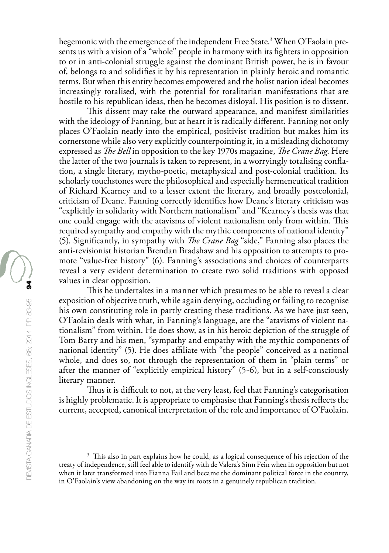hegemonic with the emergence of the independent Free State.3 When O'Faolain presents us with a vision of a "whole" people in harmony with its fighters in opposition to or in anti-colonial struggle against the dominant British power, he is in favour of, belongs to and solidifies it by his representation in plainly heroic and romantic terms. But when this entity becomes empowered and the holist nation ideal becomes increasingly totalised, with the potential for totalitarian manifestations that are hostile to his republican ideas, then he becomes disloyal. His position is to dissent.

This dissent may take the outward appearance, and manifest similarities with the ideology of Fanning, but at heart it is radically different. Fanning not only places O'Faolain neatly into the empirical, positivist tradition but makes him its cornerstone while also very explicitly counterpointing it, in a misleading dichotomy expressed as *The Bell* in opposition to the key 1970s magazine, *The Crane Bag*. Here the latter of the two journals is taken to represent, in a worryingly totalising conflation, a single literary, mytho-poetic, metaphysical and post-colonial tradition. Its scholarly touchstones were the philosophical and especially hermeneutical tradition of Richard Kearney and to a lesser extent the literary, and broadly postcolonial, criticism of Deane. Fanning correctly identifies how Deane's literary criticism was "explicitly in solidarity with Northern nationalism" and "Kearney's thesis was that one could engage with the atavisms of violent nationalism only from within. This required sympathy and empathy with the mythic components of national identity" (5). Significantly, in sympathy with *The Crane Bag* "side," Fanning also places the anti-revisionist historian Brendan Bradshaw and his opposition to attempts to promote "value-free history" (6). Fanning's associations and choices of counterparts reveal a very evident determination to create two solid traditions with opposed values in clear opposition.

This he undertakes in a manner which presumes to be able to reveal a clear exposition of objective truth, while again denying, occluding or failing to recognise his own constituting role in partly creating these traditions. As we have just seen, O'Faolain deals with what, in Fanning's language, are the "atavisms of violent nationalism" from within. He does show, as in his heroic depiction of the struggle of Tom Barry and his men, "sympathy and empathy with the mythic components of national identity" (5). He does affiliate with "the people" conceived as a national whole, and does so, not through the representation of them in "plain terms" or after the manner of "explicitly empirical history" (5-6), but in a self-consciously literary manner.

Thus it is difficult to not, at the very least, feel that Fanning's categorisation is highly problematic. It is appropriate to emphasise that Fanning's thesis reflects the current, accepted, canonical interpretation of the role and importance of O'Faolain.

<sup>&</sup>lt;sup>3</sup> This also in part explains how he could, as a logical consequence of his rejection of the treaty of independence, still feel able to identify with de Valera's Sinn Fein when in opposition but not when it later transformed into Fianna Fail and became the dominant political force in the country, in O'Faolain's view abandoning on the way its roots in a genuinely republican tradition.